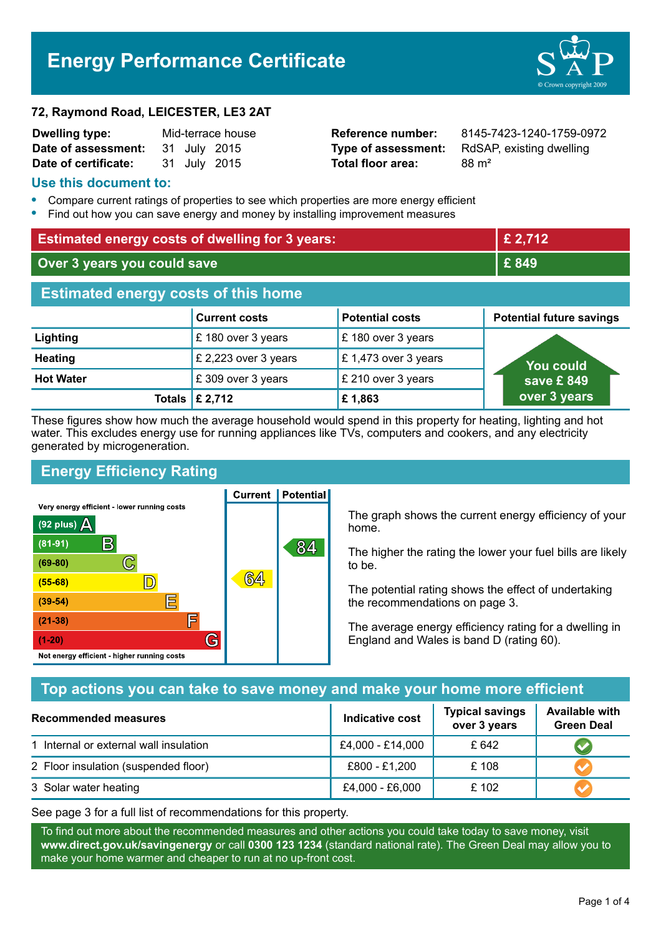# **Energy Performance Certificate**

## **72, Raymond Road, LEICESTER, LE3 2AT**

| <b>Dwelling type:</b> | Mid-terrace house |  |              |
|-----------------------|-------------------|--|--------------|
| Date of assessment:   |                   |  | 31 July 2015 |
| Date of certificate:  |                   |  | 31 July 2015 |

**Total floor area:** 88 m<sup>2</sup>

**Reference number:** 8145-7423-1240-1759-0972 **Type of assessment:** RdSAP, existing dwelling

## **Use this document to:**

- **•** Compare current ratings of properties to see which properties are more energy efficient
- **•** Find out how you can save energy and money by installing improvement measures

| <b>Estimated energy costs of dwelling for 3 years:</b> |                           |                        | £ 2,712                         |  |
|--------------------------------------------------------|---------------------------|------------------------|---------------------------------|--|
| Over 3 years you could save                            |                           | £ 849                  |                                 |  |
| <b>Estimated energy costs of this home</b>             |                           |                        |                                 |  |
|                                                        | <b>Current costs</b>      | <b>Potential costs</b> | <b>Potential future savings</b> |  |
| Lighting                                               | £180 over 3 years         | £ 180 over 3 years     |                                 |  |
| <b>Heating</b>                                         | £ 2,223 over 3 years      | £1,473 over 3 years    | <b>You could</b>                |  |
| <b>Hot Water</b>                                       | £309 over 3 years         | £ 210 over 3 years     | save £849                       |  |
|                                                        | Totals $\mathsf{E}$ 2,712 | £1,863                 | over 3 years                    |  |

These figures show how much the average household would spend in this property for heating, lighting and hot water. This excludes energy use for running appliances like TVs, computers and cookers, and any electricity generated by microgeneration.

**Current | Potential** 

# **Energy Efficiency Rating**

Very energy efficient - lower running costs



The graph shows the current energy efficiency of your home.

The higher the rating the lower your fuel bills are likely to be.

The potential rating shows the effect of undertaking the recommendations on page 3.

The average energy efficiency rating for a dwelling in England and Wales is band D (rating 60).

# **Top actions you can take to save money and make your home more efficient**

| <b>Recommended measures</b>            | Indicative cost  | <b>Typical savings</b><br>over 3 years | <b>Available with</b><br><b>Green Deal</b> |
|----------------------------------------|------------------|----------------------------------------|--------------------------------------------|
| 1 Internal or external wall insulation | £4,000 - £14,000 | £ 642                                  |                                            |
| 2 Floor insulation (suspended floor)   | £800 - £1,200    | £108                                   |                                            |
| 3 Solar water heating                  | £4,000 - £6,000  | £102                                   |                                            |

See page 3 for a full list of recommendations for this property.

To find out more about the recommended measures and other actions you could take today to save money, visit **www.direct.gov.uk/savingenergy** or call **0300 123 1234** (standard national rate). The Green Deal may allow you to make your home warmer and cheaper to run at no up-front cost.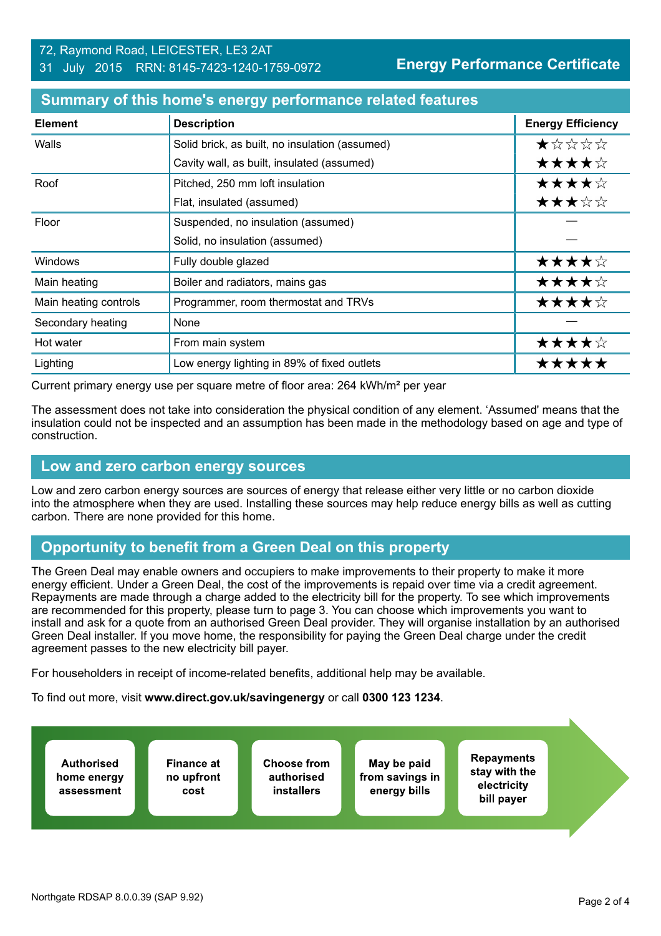## 72, Raymond Road, LEICESTER, LE3 2AT 31 July 2015 RRN: 8145-7423-1240-1759-0972

| <b>Element</b>        | <b>Description</b>                             | <b>Energy Efficiency</b> |
|-----------------------|------------------------------------------------|--------------------------|
| Walls                 | Solid brick, as built, no insulation (assumed) | ★☆☆☆☆                    |
|                       | Cavity wall, as built, insulated (assumed)     | ★★★★☆                    |
| Roof                  | Pitched, 250 mm loft insulation                | ★★★★☆                    |
|                       | Flat, insulated (assumed)                      | ★★★☆☆                    |
| Floor                 | Suspended, no insulation (assumed)             |                          |
|                       | Solid, no insulation (assumed)                 |                          |
| Windows               | Fully double glazed                            | ★★★★☆                    |
| Main heating          | Boiler and radiators, mains gas                | ★★★★☆                    |
| Main heating controls | Programmer, room thermostat and TRVs           | ★★★★☆                    |
| Secondary heating     | None                                           |                          |
| Hot water             | From main system                               | ★★★★☆                    |
| Lighting              | Low energy lighting in 89% of fixed outlets    | *****                    |

## **Summary of this home's energy performance related features**

Current primary energy use per square metre of floor area: 264 kWh/m² per year

The assessment does not take into consideration the physical condition of any element. 'Assumed' means that the insulation could not be inspected and an assumption has been made in the methodology based on age and type of construction.

## **Low and zero carbon energy sources**

Low and zero carbon energy sources are sources of energy that release either very little or no carbon dioxide into the atmosphere when they are used. Installing these sources may help reduce energy bills as well as cutting carbon. There are none provided for this home.

# **Opportunity to benefit from a Green Deal on this property**

The Green Deal may enable owners and occupiers to make improvements to their property to make it more energy efficient. Under a Green Deal, the cost of the improvements is repaid over time via a credit agreement. Repayments are made through a charge added to the electricity bill for the property. To see which improvements are recommended for this property, please turn to page 3. You can choose which improvements you want to install and ask for a quote from an authorised Green Deal provider. They will organise installation by an authorised Green Deal installer. If you move home, the responsibility for paying the Green Deal charge under the credit agreement passes to the new electricity bill payer.

For householders in receipt of income-related benefits, additional help may be available.

To find out more, visit **www.direct.gov.uk/savingenergy** or call **0300 123 1234**.

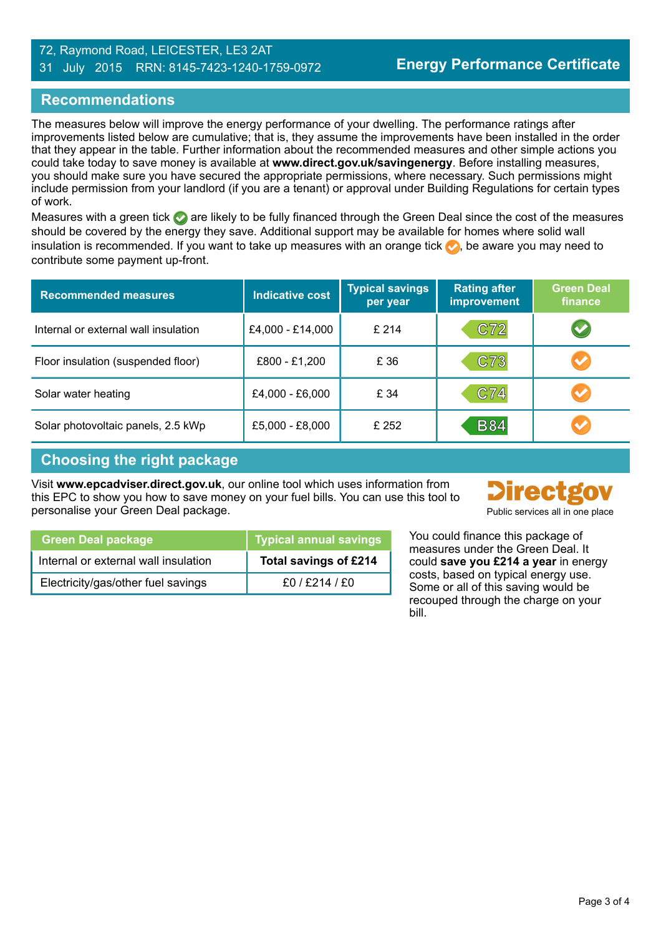### 72, Raymond Road, LEICESTER, LE3 2AT 31 July 2015 RRN: 8145-7423-1240-1759-0972

# **Recommendations**

The measures below will improve the energy performance of your dwelling. The performance ratings after improvements listed below are cumulative; that is, they assume the improvements have been installed in the order that they appear in the table. Further information about the recommended measures and other simple actions you could take today to save money is available at **www.direct.gov.uk/savingenergy**. Before installing measures, you should make sure you have secured the appropriate permissions, where necessary. Such permissions might include permission from your landlord (if you are a tenant) or approval under Building Regulations for certain types of work.

Measures with a green tick  $\bullet$  are likely to be fully financed through the Green Deal since the cost of the measures should be covered by the energy they save. Additional support may be available for homes where solid wall insulation is recommended. If you want to take up measures with an orange tick  $\bullet$ , be aware you may need to contribute some payment up-front.

| <b>Recommended measures</b>          | <b>Indicative cost</b> | <b>Typical savings</b><br>per year | <b>Rating after</b><br>improvement | <b>Green Deal</b><br>finance |
|--------------------------------------|------------------------|------------------------------------|------------------------------------|------------------------------|
| Internal or external wall insulation | £4,000 - £14,000       | £214                               | C72                                | $\blacktriangledown$         |
| Floor insulation (suspended floor)   | £800 - £1,200          | £ 36                               | C73                                | $\blacktriangledown$         |
| Solar water heating                  | £4,000 - £6,000        | £ 34                               | C74                                | $\blacktriangledown$         |
| Solar photovoltaic panels, 2.5 kWp   | £5,000 - £8,000        | £ 252                              | <b>B84</b>                         |                              |

# **Choosing the right package**

Visit **www.epcadviser.direct.gov.uk**, our online tool which uses information from this EPC to show you how to save money on your fuel bills. You can use this tool to personalise your Green Deal package. **Public services all in one place** part of public services all in one place



| <b>Green Deal package</b>            | <b>Typical annual savings</b> | You⊣<br>mea          |
|--------------------------------------|-------------------------------|----------------------|
| Internal or external wall insulation | Total savings of £214         | could                |
| Electricity/gas/other fuel savings   | £0/£214/£0                    | costs<br><b>c</b> ^m |

could finance this package of sures under the Green Deal. It d save you £214 a year in energy s, based on typical energy use. Some or all of this saving would be recouped through the charge on your bill.